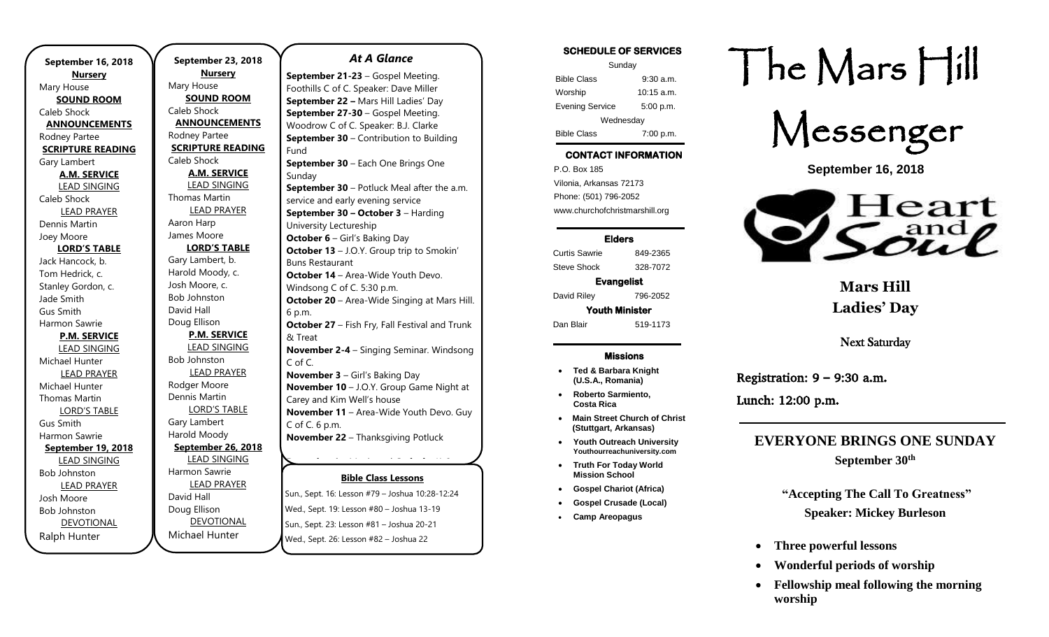**September 16, 2018 Nursery** Mary House **SOUND ROOM** Caleb Shock **ANNOUNCEMENTS** Rodney Partee **SCRIPTURE READING** Gary Lambert **A.M. SERVICE** LEAD SINGING Caleb Shock LEAD PRAYER Dennis Martin Joey Moore **LORD'S TABLE** Jack Hancock, b. Tom Hedrick, c. Stanley Gordon, c. Jade Smith Gus Smith Harmon Sawrie **P.M. SERVICE** LEAD SINGING Michael Hunter LEAD PRAYER Michael Hunter Thomas Martin LORD'S TABLE Gus Smith Harmon Sawrie **September 19, 2018** LEAD SINGING Bob Johnston LEAD PRAYER Josh Moore Bob Johnston DEVOTIONAL Ralph Hunter

**September 23, 2018 Nursery** Mary House **SOUND ROOM** Caleb Shock **ANNOUNCEMENTS** Rodney Partee **SCRIPTURE READING** Caleb Shock **A.M. SERVICE** LEAD SINGING Thomas Martin LEAD PRAYER Aaron Harp James Moore **LORD'S TABLE** Gary Lambert, b. Harold Moody, c. Josh Moore, c. Bob Johnston David Hall Doug Ellison **P.M. SERVICE** LEAD SINGING Bob Johnston LEAD PRAYER Rodger Moore Dennis Martin LORD'S TABLE Gary Lambert Harold Moody **September 26, 2018** LEAD SINGING Harmon Sawrie LEAD PRAYER David Hall Doug Ellison DEVOTIONAL

Michael Hunter

### *At A Glance*

**Bible Class Lessons September 21-23** – Gospel Meeting. Foothills C of C. Speaker: Dave Miller **September 22 –** Mars Hill Ladies' Day **September 27-30** – Gospel Meeting. Woodrow C of C. Speaker: B.J. Clarke **September 30** – Contribution to Building Fund **September 30 – Each One Brings One** Sunday **September 30** – Potluck Meal after the a.m. service and early evening service **September 30 – October 3** – Harding University Lectureship **October 6** – Girl's Baking Day **October 13** – J.O.Y. Group trip to Smokin' Buns Restaurant **October 14** – Area-Wide Youth Devo. Windsong C of C. 5:30 p.m. **October 20** – Area-Wide Singing at Mars Hill. 6 p.m. **October 27** – Fish Fry, Fall Festival and Trunk & Treat **November 2-4** – Singing Seminar. Windsong C of C. **November 3** – Girl's Baking Day **November 10** – J.O.Y. Group Game Night at Carey and Kim Well's house **November 11** – Area-Wide Youth Devo. Guy C of C. 6 p.m. **November 22** – Thanksgiving Potluck **December 1** – Movie and Crafts for K-6

Sun., Sept. 16: Lesson #79 – Joshua 10:28-12:24 **December 9** – Holiday Potluck after a.m. Wed., Sept. 19: Lesson #80 – Joshua 13-19 Sun., Sept. 23: Lesson #81 - Joshua 20-21 Wed., Sept. 26: Lesson #82 – Joshua 22 sam, se

### **SCHEDULE OF SERVICES**

| Sunday                 |              |
|------------------------|--------------|
| <b>Bible Class</b>     | $9:30$ a.m.  |
| Worship                | $10:15$ a.m. |
| <b>Evening Service</b> | 5:00 p.m.    |
| Wednesday              |              |
| <b>Bible Class</b>     | 7:00 p.m.    |

# **CONTACT INFORMATION**

. .o. Box 166<br>Vilonia, Arkansas 72173 P.O. Box 185 Phone: (501) 796-2052 www.churchofchristmarshill.org

### **Elders**

Curtis Sawrie 849-2365 Steve Shock 328-7072

### **Evangelist**

David Riley 796-2052 **Youth Minister**  Dan Blair 519-1173

### **Missions**

- **Ted & Barbara Knight (U.S.A., Romania)**
- **Roberto Sarmiento, Costa Rica**
- **Main Street Church of Christ (Stuttgart, Arkansas)**
- **Youth Outreach University Youthourreachuniversity.com**
- **Truth For Today World Mission School**
- **Gospel Chariot (Africa)**
- **Gospel Crusade (Local)**
- **Camp Areopagus**

# The Mars Hill



**September 16, 2018**



**Mars Hill Ladies' Day**

Next Saturday

Registration:  $9 - 9:30$  a.m.

Lunch: 12:00 p.m.

**EVERYONE BRINGS ONE SUNDAY September 30th**

### **"Accepting The Call To Greatness" Speaker: Mickey Burleson**

- **Three powerful lessons**
- **Wonderful periods of worship**
- **Fellowship meal following the morning worship**